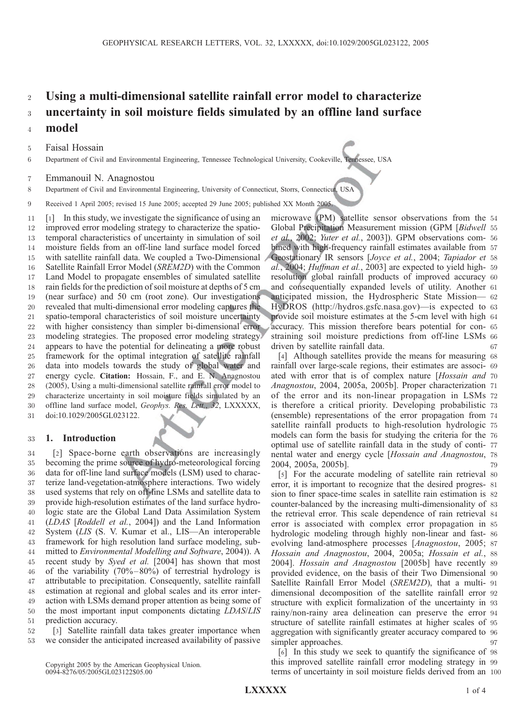# <sup>2</sup> Using a multi-dimensional satellite rainfall error model to characterize

## <sup>3</sup> uncertainty in soil moisture fields simulated by an offline land surface

<sup>4</sup> model

5 Faisal Hossain

6 Department of Civil and Environmental Engineering, Tennessee Technological University, Cookeville, Tennessee, USA

### 7 Emmanouil N. Anagnostou

8 Department of Civil and Environmental Engineering, University of Connecticut, Storrs, Connecticut, USA

9 Received 1 April 2005; revised 15 June 2005; accepted 29 June 2005; published XX Month 2005.

 [1] In this study, we investigate the significance of using an improved error modeling strategy to characterize the spatio- temporal characteristics of uncertainty in simulation of soil moisture fields from an off-line land surface model forced with satellite rainfall data. We coupled a Two-Dimensional Satellite Rainfall Error Model (SREM2D) with the Common Land Model to propagate ensembles of simulated satellite rain fields for the prediction of soil moisture at depths of 5 cm (near surface) and 50 cm (root zone). Our investigations revealed that multi-dimensional error modeling captures the spatio-temporal characteristics of soil moisture uncertainty with higher consistency than simpler bi-dimensional error modeling strategies. The proposed error modeling strategy appears to have the potential for delineating a more robust framework for the optimal integration of satellite rainfall data into models towards the study of global water and energy cycle. Citation: Hossain, F., and E. N. Anagnostou (2005), Using a multi-dimensional satellite rainfall error model to characterize uncertainty in soil moisture fields simulated by an offline land surface model, Geophys. Res. Lett., 32, LXXXXX, doi:10.1029/2005GL023122.

## 33 1. Introduction

 [2] Space-borne earth observations are increasingly becoming the prime source of hydro-meteorological forcing data for off-line land surface models (LSM) used to charac- terize land-vegetation-atmosphere interactions. Two widely used systems that rely on off-line LSMs and satellite data to provide high-resolution estimates of the land surface hydro- logic state are the Global Land Data Assimilation System (LDAS [Roddell et al., 2004]) and the Land Information System (LIS (S. V. Kumar et al., LIS—An interoperable framework for high resolution land surface modeling, sub- mitted to Environmental Modelling and Software, 2004)). A recent study by Syed et al. [2004] has shown that most of the variability (70% – 80%) of terrestrial hydrology is attributable to precipitation. Consequently, satellite rainfall estimation at regional and global scales and its error inter- action with LSMs demand proper attention as being some of the most important input components dictating LDAS/LIS prediction accuracy.

52 [3] Satellite rainfall data takes greater importance when 53 we consider the anticipated increased availability of passive

Copyright 2005 by the American Geophysical Union. 0094-8276/05/2005GL023122\$05.00

microwave (PM) satellite sensor observations from the 54 Global Precipitation Measurement mission (GPM [Bidwell 55 et al., 2002; Yuter et al., 2003]). GPM observations com- 56 bined with high-frequency rainfall estimates available from 57 Geostationary IR sensors [Joyce et al., 2004; Tapiador et 58 al., 2004; Huffman et al., 2003] are expected to yield high- 59 resolution global rainfall products of improved accuracy 60 and consequentially expanded levels of utility. Another 61 anticipated mission, the Hydrospheric State Mission— 62 HyDROS (http://hydros.gsfc.nasa.gov)—is expected to 63 provide soil moisture estimates at the 5-cm level with high 64 accuracy. This mission therefore bears potential for con- 65 straining soil moisture predictions from off-line LSMs 66 driven by satellite rainfall data. 67

[4] Although satellites provide the means for measuring 68 rainfall over large-scale regions, their estimates are associ- 69 ated with error that is of complex nature [Hossain and 70 Anagnostou, 2004, 2005a, 2005b]. Proper characterization 71 of the error and its non-linear propagation in LSMs 72 is therefore a critical priority. Developing probabilistic 73 (ensemble) representations of the error propagation from 74 satellite rainfall products to high-resolution hydrologic 75 models can form the basis for studying the criteria for the 76 optimal use of satellite rainfall data in the study of conti- 77 nental water and energy cycle [Hossain and Anagnostou, 78 2004, 2005a, 2005b]. 79

[5] For the accurate modeling of satellite rain retrieval 80 error, it is important to recognize that the desired progres- 81 sion to finer space-time scales in satellite rain estimation is 82 counter-balanced by the increasing multi-dimensionality of 83 the retrieval error. This scale dependence of rain retrieval 84 error is associated with complex error propagation in 85 hydrologic modeling through highly non-linear and fast- 86 evolving land-atmosphere processes [Anagnostou, 2005; 87 Hossain and Anagnostou, 2004, 2005a; Hossain et al., 88 2004]. Hossain and Anagnostou [2005b] have recently 89 provided evidence, on the basis of their Two Dimensional 90 Satellite Rainfall Error Model (SREM2D), that a multi- 91 dimensional decomposition of the satellite rainfall error 92 structure with explicit formalization of the uncertainty in 93 rainy/non-rainy area delineation can preserve the error 94 structure of satellite rainfall estimates at higher scales of 95 aggregation with significantly greater accuracy compared to 96 simpler approaches. 97

[6] In this study we seek to quantify the significance of 98 this improved satellite rainfall error modeling strategy in 99 terms of uncertainty in soil moisture fields derived from an 100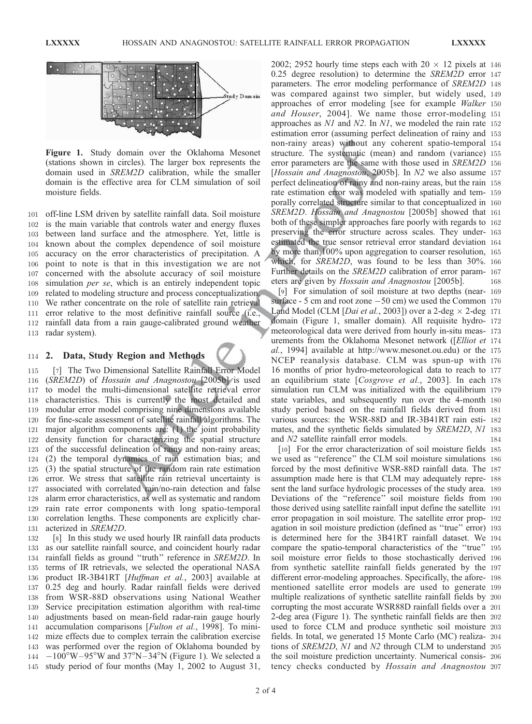

Figure 1. Study domain over the Oklahoma Mesonet (stations shown in circles). The larger box represents the domain used in SREM2D calibration, while the smaller domain is the effective area for CLM simulation of soil moisture fields.

 off-line LSM driven by satellite rainfall data. Soil moisture is the main variable that controls water and energy fluxes between land surface and the atmosphere. Yet, little is known about the complex dependence of soil moisture accuracy on the error characteristics of precipitation. A point to note is that in this investigation we are not concerned with the absolute accuracy of soil moisture simulation per se, which is an entirely independent topic related to modeling structure and process conceptualization. We rather concentrate on the role of satellite rain retrieval error relative to the most definitive rainfall source (i.e., rainfall data from a rain gauge-calibrated ground weather radar system).

## 114 2. Data, Study Region and Methods

 [7] The Two Dimensional Satellite Rainfall Error Model (SREM2D) of Hossain and Anagnostou [2005b] is used to model the multi-dimensional satellite retrieval error characteristics. This is currently the most detailed and modular error model comprising nine dimensions available for fine-scale assessment of satellite rainfall algorithms. The major algorithm components are: (1) the joint probability density function for characterizing the spatial structure of the successful delineation of rainy and non-rainy areas; (2) the temporal dynamics of rain estimation bias; and (3) the spatial structure of the random rain rate estimation error. We stress that satellite rain retrieval uncertainty is associated with correlated rain/no-rain detection and false alarm error characteristics, as well as systematic and random rain rate error components with long spatio-temporal correlation lengths. These components are explicitly char-acterized in SREM2D.

 [8] In this study we used hourly IR rainfall data products as our satellite rainfall source, and coincident hourly radar rainfall fields as ground ''truth'' reference in SREM2D. In terms of IR retrievals, we selected the operational NASA 136 product IR-3B41RT [Huffman et al., 2003] available at 0.25 deg and hourly. Radar rainfall fields were derived from WSR-88D observations using National Weather Service precipitation estimation algorithm with real-time adjustments based on mean-field radar-rain gauge hourly accumulation comparisons [Fulton et al., 1998]. To mini- mize effects due to complex terrain the calibration exercise was performed over the region of Oklahoma bounded by  $144 - 100^{\circ}W - 95^{\circ}W$  and  $37^{\circ}N - 34^{\circ}N$  (Figure 1). We selected a study period of four months (May 1, 2002 to August 31,

2002; 2952 hourly time steps each with  $20 \times 12$  pixels at 146 0.25 degree resolution) to determine the SREM2D error 147 parameters. The error modeling performance of SREM2D 148 was compared against two simpler, but widely used, 149 approaches of error modeling [see for example Walker 150 and Houser, 2004]. We name those error-modeling 151 approaches as N1 and N2. In N1, we modeled the rain rate 152 estimation error (assuming perfect delineation of rainy and 153 non-rainy areas) without any coherent spatio-temporal 154 structure. The systematic (mean) and random (variance) 155 error parameters are the same with those used in SREM2D 156 [Hossain and Anagnostou, 2005b]. In N2 we also assume 157 perfect delineation of rainy and non-rainy areas, but the rain 158 rate estimation error was modeled with spatially and tem- 159 porally correlated structure similar to that conceptualized in 160 SREM2D. Hossain and Anagnostou [2005b] showed that 161 both of these simpler approaches fare poorly with regards to 162 preserving the error structure across scales. They under- 163 estimated the true sensor retrieval error standard deviation 164 by more than 100% upon aggregation to coarser resolution, 165 which, for SREM2D, was found to be less than 30%. 166 Further details on the SREM2D calibration of error param- 167 eters are given by Hossain and Anagnostou [2005b]. 168

[9] For simulation of soil moisture at two depths (near- 169 surface  $-5$  cm and root zone  $-50$  cm) we used the Common 170 Land Model (CLM [*Dai et al.*, 2003]) over a 2-deg  $\times$  2-deg 171 domain (Figure 1, smaller domain). All requisite hydro- 172 meteorological data were derived from hourly in-situ meas- 173 urements from the Oklahoma Mesonet network ([Elliot et 174 al., 1994] available at http://www.mesonet.ou.edu) or the 175 NCEP reanalysis database. CLM was spun-up with 176 16 months of prior hydro-meteorological data to reach to 177 an equilibrium state [Cosgrove et al., 2003]. In each 178 simulation run CLM was initialized with the equilibrium 179 state variables, and subsequently run over the 4-month 180 study period based on the rainfall fields derived from 181 various sources: the WSR-88D and IR-3B41RT rain esti- 182 mates, and the synthetic fields simulated by *SREM2D*, N1 183 and N2 satellite rainfall error models. 184

[10] For the error characterization of soil moisture fields 185 we used as ''reference'' the CLM soil moisture simulations 186 forced by the most definitive WSR-88D rainfall data. The 187 assumption made here is that CLM may adequately repre- 188 sent the land surface hydrologic processes of the study area. 189 Deviations of the ''reference'' soil moisture fields from 190 those derived using satellite rainfall input define the satellite 191 error propagation in soil moisture. The satellite error prop- 192 agation in soil moisture prediction (defined as ''true'' error) 193 is determined here for the 3B41RT rainfall dataset. We 194 compare the spatio-temporal characteristics of the ''true'' 195 soil moisture error fields to those stochastically derived 196 from synthetic satellite rainfall fields generated by the 197 different error-modeling approaches. Specifically, the afore- 198 mentioned satellite error models are used to generate 199 multiple realizations of synthetic satellite rainfall fields by 200 corrupting the most accurate WSR88D rainfall fields over a 201 2-deg area (Figure 1). The synthetic rainfall fields are then 202 used to force CLM and produce synthetic soil moisture 203 fields. In total, we generated 15 Monte Carlo (MC) realiza- 204 tions of SREM2D, N1 and N2 through CLM to understand 205 the soil moisture prediction uncertainty. Numerical consis- 206 tency checks conducted by Hossain and Anagnostou 207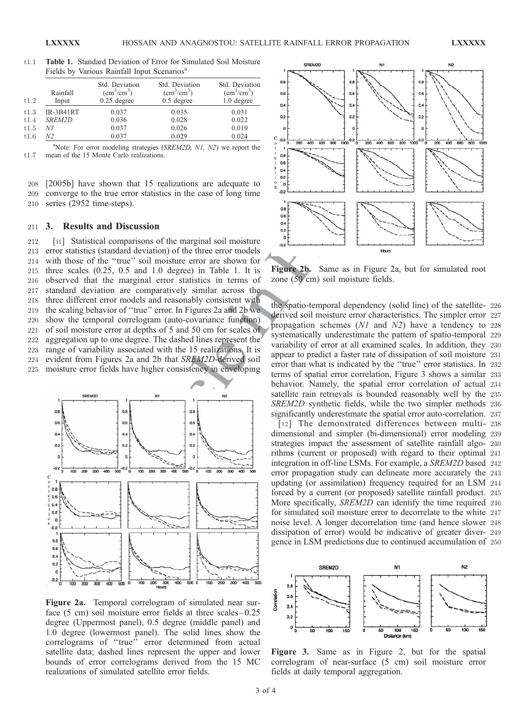| t1.2 | Rainfall<br>Input | Std. Deviation<br>$\text{cm}^3/\text{cm}^3$ )<br>$0.25$ degree | Std. Deviation<br>$\text{ (cm}^3\text{/cm}^3)$<br>$0.5$ degree | Std. Deviation<br>$\text{cm}^3/\text{cm}^3$ )<br>1.0 degree |
|------|-------------------|----------------------------------------------------------------|----------------------------------------------------------------|-------------------------------------------------------------|
| t1.3 | $IR-3B41RT$       | 0.037                                                          | 0.035                                                          | 0.031                                                       |
| t1.4 | <i>SREM2D</i>     | 0.036                                                          | 0.028                                                          | 0.022                                                       |
| t1.5 | ΝI                | 0.037                                                          | 0.026                                                          | 0.019                                                       |
| t1.6 | N2                | 0.037                                                          | 0.029                                                          | 0.024                                                       |

t1.1 Table 1. Standard Deviation of Error for Simulated Soil Moisture Fields by Various Rainfall Input Scenarios<sup>a</sup>

<sup>a</sup>Note: For error modeling strategies (SREM2D, N1, N2) we report the t1.7 mean of the 15 Monte Carlo realizations.

208 [2005b] have shown that 15 realizations are adequate to 209 converge to the true error statistics in the case of long time 210 series (2952 time-steps).

#### 211 3. Results and Discussion

 [11] Statistical comparisons of the marginal soil moisture error statistics (standard deviation) of the three error models with those of the ''true'' soil moisture error are shown for three scales (0.25, 0.5 and 1.0 degree) in Table 1. It is observed that the marginal error statistics in terms of standard deviation are comparatively similar across the three different error models and reasonably consistent with the scaling behavior of ''true'' error. In Figures 2a and 2b we show the temporal correlogram (auto-covariance function) of soil moisture error at depths of 5 and 50 cm for scales of aggregation up to one degree. The dashed lines represent the range of variability associated with the 15 realizations. It is evident from Figures 2a and 2b that SREM2D-derived soil moisture error fields have higher consistency in enveloping



Figure 2a. Temporal correlogram of simulated near surface  $(5 \text{ cm})$  soil moisture error fields at three scales  $-0.25$ degree (Uppermost panel), 0.5 degree (middle panel) and 1.0 degree (lowermost panel). The solid lines show the correlograms of ''true'' error determined from actual satellite data; dashed lines represent the upper and lower bounds of error correlograms derived from the 15 MC realizations of simulated satellite error fields.



Figure 2b. Same as in Figure 2a, but for simulated root zone (50 cm) soil moisture fields.

the spatio-temporal dependency (solid line) of the satellite- 226 derived soil moisture error characteristics. The simpler error 227 propagation schemes (N1 and N2) have a tendency to 228 systematically underestimate the pattern of spatio-temporal 229 variability of error at all examined scales. In addition, they 230 appear to predict a faster rate of dissipation of soil moisture 231 error than what is indicated by the ''true'' error statistics. In 232 terms of spatial error correlation, Figure 3 shows a similar 233 behavior. Namely, the spatial error correlation of actual 234 satellite rain retrievals is bounded reasonably well by the 235 SREM2D synthetic fields, while the two simpler methods 236 significantly underestimate the spatial error auto-correlation. 237

[12] The demonstrated differences between multi-238 dimensional and simpler (bi-dimensional) error modeling 239 strategies impact the assessment of satellite rainfall algo- 240 rithms (current or proposed) with regard to their optimal 241 integration in off-line LSMs. For example, a SREM2D based 242 error propagation study can delineate more accurately the 243 updating (or assimilation) frequency required for an LSM 244 forced by a current (or proposed) satellite rainfall product. 245 More specifically, SREM2D can identify the time required 246 for simulated soil moisture error to decorrelate to the white 247 noise level. A longer decorrelation time (and hence slower 248 dissipation of error) would be indicative of greater diver- 249 gence in LSM predictions due to continued accumulation of 250



Figure 3. Same as in Figure 2, but for the spatial correlogram of near-surface (5 cm) soil moisture error fields at daily temporal aggregation.